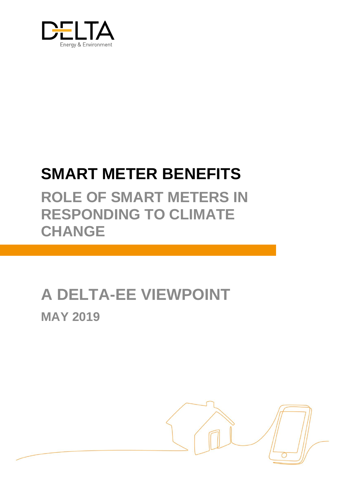

# **SMART METER BENEFITS**

**ROLE OF SMART METERS IN RESPONDING TO CLIMATE CHANGE** 

# **A DELTA-EE VIEWPOINT MAY 2019**

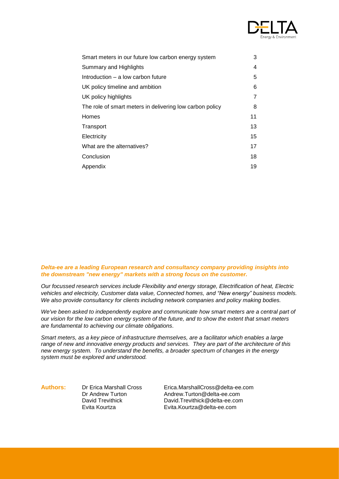

| Smart meters in our future low carbon energy system      | 3              |
|----------------------------------------------------------|----------------|
| Summary and Highlights                                   | 4              |
| Introduction – a low carbon future                       | 5              |
| UK policy timeline and ambition                          | 6              |
| UK policy highlights                                     | $\overline{7}$ |
| The role of smart meters in delivering low carbon policy | 8              |
| Homes                                                    | 11             |
| Transport                                                | 13             |
| Electricity                                              | 15             |
| What are the alternatives?                               | 17             |
| Conclusion                                               | 18             |
| Appendix                                                 | 19             |
|                                                          |                |

#### *Delta-ee are a leading European research and consultancy company providing insights into the downstream "new energy" markets with a strong focus on the customer.*

*Our focussed research services include Flexibility and energy storage, Electrification of heat, Electric vehicles and electricity, Customer data value, Connected homes, and "New energy" business models. We also provide consultancy for clients including network companies and policy making bodies.* 

*We've been asked to independently explore and communicate how smart meters are a central part of our vision for the low carbon energy system of the future, and to show the extent that smart meters are fundamental to achieving our climate obligations.*

*Smart meters, as a key piece of infrastructure themselves, are a facilitator which enables a large range of new and innovative energy products and services. They are part of the architecture of this new energy system. To understand the benefits, a broader spectrum of changes in the energy system must be explored and understood.* 

**Authors:** Dr Erica Marshall Cross Erica.MarshallCross@delta-ee.com

Dr Andrew Turton Andrew.Turton@delta-ee.com David Trevithick David.Trevithick@delta-ee.com Evita Kourtza Evita.Kourtza@delta-ee.com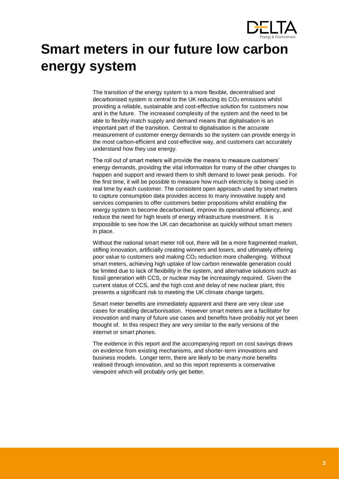

# <span id="page-2-0"></span>**Smart meters in our future low carbon energy system**

The transition of the energy system to a more flexible, decentralised and decarbonised system is central to the UK reducing its  $CO<sub>2</sub>$  emissions whilst providing a reliable, sustainable and cost-effective solution for customers now and in the future. The increased complexity of the system and the need to be able to flexibly match supply and demand means that digitalisation is an important part of the transition. Central to digitalisation is the accurate measurement of customer energy demands so the system can provide energy in the most carbon-efficient and cost-effective way, and customers can accurately understand how they use energy.

The roll out of smart meters will provide the means to measure customers' energy demands, providing the vital information for many of the other changes to happen and support and reward them to shift demand to lower peak periods. For the first time, it will be possible to measure how much electricity is being used in real time by each customer. The consistent open approach used by smart meters to capture consumption data provides access to many innovative supply and services companies to offer customers better propositions whilst enabling the energy system to become decarbonised, improve its operational efficiency, and reduce the need for high levels of energy infrastructure investment. It is impossible to see how the UK can decarbonise as quickly without smart meters in place.

Without the national smart meter roll out, there will be a more fragmented market, stifling innovation, artificially creating winners and losers, and ultimately offering poor value to customers and making  $CO<sub>2</sub>$  reduction more challenging. Without smart meters, achieving high uptake of low carbon renewable generation could be limited due to lack of flexibility in the system, and alternative solutions such as fossil generation with CCS, or nuclear may be increasingly required. Given the current status of CCS, and the high cost and delay of new nuclear plant, this presents a significant risk to meeting the UK climate change targets.

Smart meter benefits are immediately apparent and there are very clear use cases for enabling decarbonisation. However smart meters are a facilitator for innovation and many of future use cases and benefits have probably not yet been thought of. In this respect they are very similar to the early versions of the internet or smart phones.

The evidence in this report and the accompanying report on cost savings draws on evidence from existing mechanisms, and shorter-term innovations and business models. Longer term, there are likely to be many more benefits realised through innovation, and so this report represents a conservative viewpoint which will probably only get better.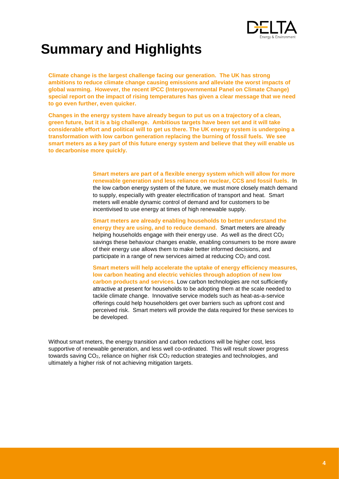

# <span id="page-3-0"></span>**Summary and Highlights**

**Climate change is the largest challenge facing our generation. The UK has strong ambitions to reduce climate change causing emissions and alleviate the worst impacts of global warming. However, the recent IPCC (Intergovernmental Panel on Climate Change) special report on the impact of rising temperatures has given a clear message that we need to go even further, even quicker.**

**Changes in the energy system have already begun to put us on a trajectory of a clean, green future, but it is a big challenge. Ambitious targets have been set and it will take considerable effort and political will to get us there. The UK energy system is undergoing a transformation with low carbon generation replacing the burning of fossil fuels. We see smart meters as a key part of this future energy system and believe that they will enable us to decarbonise more quickly.**

> **Smart meters are part of a flexible energy system which will allow for more renewable generation and less reliance on nuclear, CCS and fossil fuels.** In the low carbon energy system of the future, we must more closely match demand to supply, especially with greater electrification of transport and heat. Smart meters will enable dynamic control of demand and for customers to be incentivised to use energy at times of high renewable supply.

**Smart meters are already enabling households to better understand the energy they are using, and to reduce demand.** Smart meters are already helping households engage with their energy use. As well as the direct  $CO<sub>2</sub>$ savings these behaviour changes enable, enabling consumers to be more aware of their energy use allows them to make better informed decisions, and participate in a range of new services aimed at reducing  $CO<sub>2</sub>$  and cost.

**Smart meters will help accelerate the uptake of energy efficiency measures, low carbon heating and electric vehicles through adoption of new low carbon products and services.** Low carbon technologies are not sufficiently attractive at present for households to be adopting them at the scale needed to tackle climate change. Innovative service models such as heat-as-a-service offerings could help householders get over barriers such as upfront cost and perceived risk. Smart meters will provide the data required for these services to be developed.

Without smart meters, the energy transition and carbon reductions will be higher cost, less supportive of renewable generation, and less well co-ordinated. This will result slower progress towards saving  $CO<sub>2</sub>$ , reliance on higher risk  $CO<sub>2</sub>$  reduction strategies and technologies, and ultimately a higher risk of not achieving mitigation targets.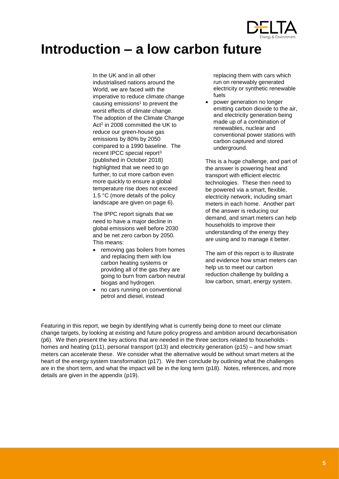

## <span id="page-4-0"></span>**Introduction – a low carbon future**

In the UK and in all other industrialised nations around the World, we are faced with the imperative to reduce climate change causing emissions $1$  to prevent the worst effects of climate change. The adoption of the Climate Change Act<sup>2</sup> in 2008 committed the UK to reduce our green-house gas emissions by 80% by 2050 compared to a 1990 baseline. The recent IPCC special report<sup>3</sup> (published in October 2018) highlighted that we need to go further, to cut more carbon even more quickly to ensure a global temperature rise does not exceed 1.5 °C (more details of the policy landscape are given on page [6\)](#page-4-1).

The IPPC report signals that we need to have a major decline in global emissions well before 2030 and be net zero carbon by 2050. This means:

- removing gas boilers from homes and replacing them with low carbon heating systems or providing all of the gas they are going to burn from carbon neutral biogas and hydrogen.
- no cars running on conventional petrol and diesel, instead

replacing them with cars which run on renewably generated electricity or synthetic renewable fuels

• power generation no longer emitting carbon dioxide to the air, and electricity generation being made up of a combination of renewables, nuclear and conventional power stations with carbon captured and stored underground.

This is a huge challenge, and part of the answer is powering heat and transport with efficient electric technologies. These then need to be powered via a smart, flexible, electricity network, including smart meters in each home. Another part of the answer is reducing our demand, and smart meters can help households to improve their understanding of the energy they are using and to manage it better.

The aim of this report is to illustrate and evidence how smart meters can help us to meet our carbon reduction challenge by building a low carbon, smart, energy system.

<span id="page-4-1"></span>Featuring in this report, we begin by identifying what is currently being done to meet our climate change targets, by looking at existing and future policy progress and ambition around decarbonisation ([p6\)](#page-4-1). We then present the key actions that are needed in the three sectors related to households homes and heating (p11), personal transport (p13) and electricity generation (p15) – and how smart meters can accelerate these. We consider what the alternative would be without smart meters at the heart of the energy system transformation (p17). We then conclude by outlining what the challenges are in the short term, and what the impact will be in the long term (p18). Notes, references, and more details are given in the appendix (p19).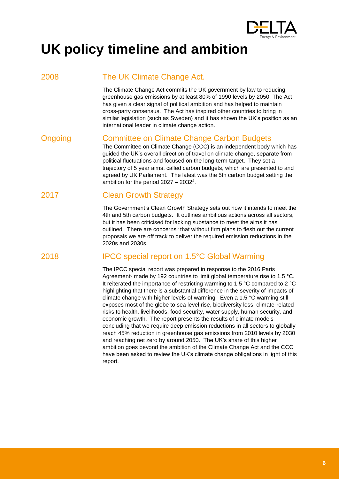

# <span id="page-5-0"></span>**UK policy timeline and ambition**

## 2008 The UK Climate Change Act.

The Climate Change Act commits the UK government by law to reducing greenhouse gas emissions by at least 80% of 1990 levels by 2050. The Act has given a clear signal of political ambition and has helped to maintain cross-party consensus. The Act has inspired other countries to bring in similar legislation (such as Sweden) and it has shown the UK's position as an international leader in climate change action.

## Ongoing Committee on Climate Change Carbon Budgets

The Committee on Climate Change (CCC) is an independent body which has guided the UK's overall direction of travel on climate change, separate from political fluctuations and focused on the long-term target. They set a trajectory of 5 year aims, called carbon budgets, which are presented to and agreed by UK Parliament. The latest was the 5th carbon budget setting the ambition for the period 2027 – 2032<sup>4</sup> .

## 2017 Clean Growth Strategy

The Government's Clean Growth Strategy sets out how it intends to meet the 4th and 5th carbon budgets. It outlines ambitious actions across all sectors, but it has been criticised for lacking substance to meet the aims it has outlined. There are concerns<sup>5</sup> that without firm plans to flesh out the current proposals we are off track to deliver the required emission reductions in the 2020s and 2030s.

## 2018 IPCC special report on 1.5°C Global Warming

The IPCC special report was prepared in response to the 2016 Paris Agreement<sup>6</sup> made by 192 countries to limit global temperature rise to 1.5 °C. It reiterated the importance of restricting warming to 1.5 °C compared to 2 °C highlighting that there is a substantial difference in the severity of impacts of climate change with higher levels of warming. Even a 1.5 °C warming still exposes most of the globe to sea level rise, biodiversity loss, climate-related risks to health, livelihoods, food security, water supply, human security, and economic growth. The report presents the results of climate models concluding that we require deep emission reductions in all sectors to globally reach 45% reduction in greenhouse gas emissions from 2010 levels by 2030 and reaching net zero by around 2050. The UK's share of this higher ambition goes beyond the ambition of the Climate Change Act and the CCC have been asked to review the UK's climate change obligations in light of this report.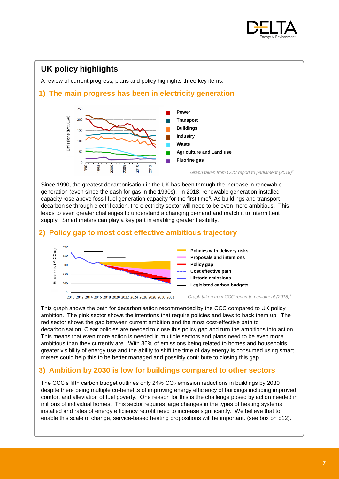<span id="page-6-1"></span>

## <span id="page-6-0"></span>**UK policy highlights**

A review of current progress, plans and policy highlights three key items:

## **1) The main progress has been in electricity generation<sup>7</sup>**



Since 1990, the greatest decarbonisation in the UK has been through the increase in renewable generation (even since the dash for gas in the 1990s). In 2018, renewable generation installed capacity rose above fossil fuel generation capacity for the first time $8$ . As buildings and transport decarbonise through electrification, the electricity sector will need to be even more ambitious. This leads to even greater challenges to understand a changing demand and match it to intermittent supply. Smart meters can play a key part in enabling greater flexibility.

### **2) Policy gap to most cost effective ambitious trajectory**



2010 2012 2014 2016 2018 2020 2022 2024 2026 2028 2030 2032

*Graph taken from CCC report to parliament (2018[\)](#page-6-1)<sup>7</sup>*

This graph shows the path for decarbonisation recommended by the CCC compared to UK policy ambition. The pink sector shows the intentions that require policies and laws to back them up. The red sector shows the gap between current ambition and the most cost-effective path to decarbonisation. Clear policies are needed to close this policy gap and turn the ambitions into action. This means that even more action is needed in multiple sectors and plans need to be even more ambitious than they currently are. With 36% of emissions being related to homes and households, greater visibility of energy use and the ability to shift the time of day energy is consumed using smart meters could help this to be better managed and possibly contribute to closing this gap.

## **3) Ambition by 2030 is low for buildings compared to other sectors**

The CCC's fifth carbon budget outlines only  $24\%$  CO<sub>2</sub> emission reductions in buildings by 2030 despite there being multiple co-benefits of improving energy efficiency of buildings including improved comfort and alleviation of fuel poverty. One reason for this is the challenge posed by action needed in millions of individual homes. This sector requires large changes in the types of heating systems installed and rates of energy efficiency retrofit need to increase significantly. We believe that to enable this scale of change, service-based heating propositions will be important. (see box on [p12\)](#page-11-0).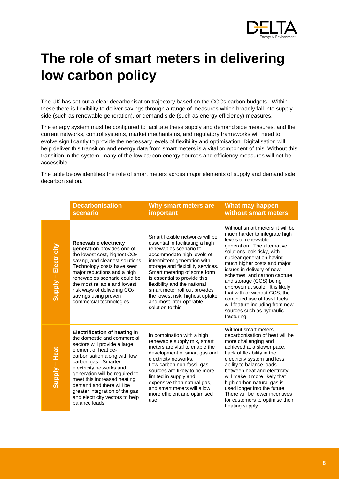

# <span id="page-7-0"></span>**The role of smart meters in delivering low carbon policy**

The UK has set out a clear decarbonisation trajectory based on the CCCs carbon budgets. Within these there is flexibility to deliver savings through a range of measures which broadly fall into supply side (such as renewable generation), or demand side (such as energy efficiency) measures.

The energy system must be configured to facilitate these supply and demand side measures, and the current networks, control systems, market mechanisms, and regulatory frameworks will need to evolve significantly to provide the necessary levels of flexibility and optimisation. Digitalisation will help deliver this transition and energy data from smart meters is a vital component of this. Without this transition in the system, many of the low carbon energy sources and efficiency measures will not be accessible.

The table below identifies the role of smart meters across major elements of supply and demand side decarbonisation.

|                      | <b>Decarbonisation</b><br>scenario                                                                                                                                                                                                                                                                                                                                                                | Why smart meters are<br><b>important</b>                                                                                                                                                                                                                                                                                                                                                                            | What may happen<br>without smart meters                                                                                                                                                                                                                                                                                                                                                                                                                                                      |
|----------------------|---------------------------------------------------------------------------------------------------------------------------------------------------------------------------------------------------------------------------------------------------------------------------------------------------------------------------------------------------------------------------------------------------|---------------------------------------------------------------------------------------------------------------------------------------------------------------------------------------------------------------------------------------------------------------------------------------------------------------------------------------------------------------------------------------------------------------------|----------------------------------------------------------------------------------------------------------------------------------------------------------------------------------------------------------------------------------------------------------------------------------------------------------------------------------------------------------------------------------------------------------------------------------------------------------------------------------------------|
| Supply - Electricity | <b>Renewable electricity</b><br>generation provides one of<br>the lowest cost, highest CO <sub>2</sub><br>saving, and cleanest solutions.<br>Technology costs have seen<br>major reductions and a high<br>renewables scenario could be<br>the most reliable and lowest<br>risk ways of delivering CO <sub>2</sub><br>savings using proven<br>commercial technologies.                             | Smart flexible networks will be<br>essential in facilitating a high<br>renewables scenario to<br>accommodate high levels of<br>intermittent generation with<br>storage and flexibility services.<br>Smart metering of some form<br>is essential to provide this<br>flexibility and the national<br>smart meter roll out provides<br>the lowest risk, highest uptake<br>and most inter-operable<br>solution to this. | Without smart meters, it will be<br>much harder to integrate high<br>levels of renewable<br>generation. The alternative<br>solutions look risky, with<br>nuclear generation having<br>much higher costs and major<br>issues in delivery of new<br>schemes, and carbon capture<br>and storage (CCS) being<br>unproven at scale. It is likely<br>that with or without CCS, the<br>continued use of fossil fuels<br>will feature including from new<br>sources such as hydraulic<br>fracturing. |
| Supply - Heat        | <b>Electrification of heating in</b><br>the domestic and commercial<br>sectors will provide a large<br>element of heat de-<br>carbonisation along with low<br>carbon gas. Smarter<br>electricity networks and<br>generation will be required to<br>meet this increased heating<br>demand and there will be<br>greater integration of the gas<br>and electricity vectors to help<br>balance loads. | In combination with a high<br>renewable supply mix, smart<br>meters are vital to enable the<br>development of smart gas and<br>electricity networks,<br>Low carbon non-fossil gas<br>sources are likely to be more<br>limited in supply and<br>expensive than natural gas,<br>and smart meters will allow<br>more efficient and optimised<br>use.                                                                   | Without smart meters,<br>decarbonisation of heat will be<br>more challenging and<br>achieved at a slower pace.<br>Lack of flexibility in the<br>electricity system and less<br>ability to balance loads<br>between heat and electricity<br>will make it more likely that<br>high carbon natural gas is<br>used longer into the future.<br>There will be fewer incentives<br>for customers to optimise their<br>heating supply.                                                               |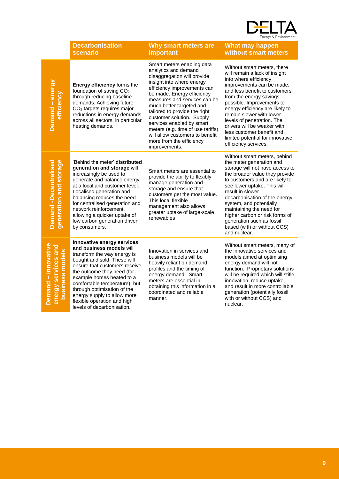

|                                                               | <b>Decarbonisation</b><br>scenario                                                                                                                                                                                                                                                                                                                                           | Why smart meters are<br>important                                                                                                                                                                                                                                                                                                                                                                                                                       | <b>What may happen</b><br>without smart meters                                                                                                                                                                                                                                                                                                                                                                                   |
|---------------------------------------------------------------|------------------------------------------------------------------------------------------------------------------------------------------------------------------------------------------------------------------------------------------------------------------------------------------------------------------------------------------------------------------------------|---------------------------------------------------------------------------------------------------------------------------------------------------------------------------------------------------------------------------------------------------------------------------------------------------------------------------------------------------------------------------------------------------------------------------------------------------------|----------------------------------------------------------------------------------------------------------------------------------------------------------------------------------------------------------------------------------------------------------------------------------------------------------------------------------------------------------------------------------------------------------------------------------|
| Demand - energy<br>efficiency                                 | <b>Energy efficiency forms the</b><br>foundation of saving CO <sub>2</sub><br>through reducing baseline<br>demands. Achieving future<br>CO <sub>2</sub> targets requires major<br>reductions in energy demands<br>across all sectors, in particular<br>heating demands.                                                                                                      | Smart meters enabling data<br>analytics and demand<br>disaggregation will provide<br>insight into where energy<br>efficiency improvements can<br>be made. Energy efficiency<br>measures and services can be<br>much better targeted and<br>tailored to provide the right<br>customer solution. Supply<br>services enabled by smart<br>meters (e.g. time of use tariffs)<br>will allow customers to benefit<br>more from the efficiency<br>improvements. | Without smart meters, there<br>will remain a lack of insight<br>into where efficiency<br>improvements can be made,<br>and less benefit to customers<br>from the energy savings<br>possible. Improvements to<br>energy efficiency are likely to<br>remain slower with lower<br>levels of penetration. The<br>drivers will be weaker with<br>less customer benefit and<br>limited potential for innovative<br>efficiency services. |
| generation and storage<br><b>Demand -Decentralised</b>        | 'Behind the meter' <b>distributed</b><br>generation and storage will<br>increasingly be used to<br>generate and balance energy<br>at a local and customer level.<br>Localised generation and<br>balancing reduces the need<br>for centralised generation and<br>network reinforcement,<br>allowing a quicker uptake of<br>low carbon generation driven<br>by consumers.      | Smart meters are essential to<br>provide the ability to flexibly<br>manage generation and<br>storage and ensure that<br>customers get the most value.<br>This local flexible<br>management also allows<br>greater uptake of large-scale<br>renewables                                                                                                                                                                                                   | Without smart meters, behind<br>the meter generation and<br>storage will not have access to<br>the broader value they provide<br>to customers and are likely to<br>see lower uptake. This will<br>result in slower<br>decarbonisation of the energy<br>system, and potentially<br>maintaining the need for<br>higher carbon or risk forms of<br>generation such as fossil<br>based (with or without CCS)<br>and nuclear.         |
| Demand - innovative<br>energy services and<br>business models | Innovative energy services<br>and business models will<br>transform the way energy is<br>bought and sold. These will<br>ensure that customers receive<br>the outcome they need (for<br>example homes heated to a<br>comfortable temperature), but<br>through optimisation of the<br>energy supply to allow more<br>flexible operation and high<br>levels of decarbonisation. | Innovation in services and<br>business models will be<br>heavily reliant on demand<br>profiles and the timing of<br>energy demand. Smart<br>meters are essential in<br>obtaining this information in a<br>coordinated and reliable<br>manner.                                                                                                                                                                                                           | Without smart meters, many of<br>the innovative services and<br>models aimed at optimising<br>energy demand will not<br>function. Proprietary solutions<br>will be required which will stifle<br>innovation, reduce uptake,<br>and result in more controllable<br>generation (potentially fossil<br>with or without CCS) and<br>nuclear.                                                                                         |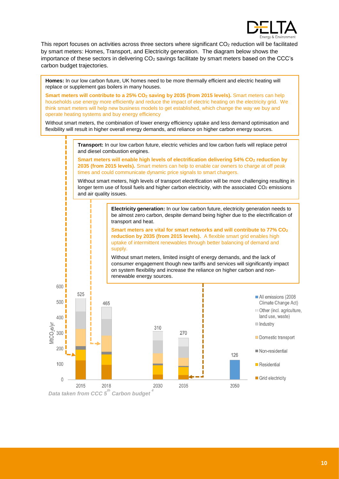

This report focuses on activities across three sectors where significant CO<sup>2</sup> reduction will be facilitated by smart meters: Homes, Transport, and Electricity generation. The diagram below shows the importance of these sectors in delivering  $CO<sub>2</sub>$  savings facilitate by smart meters based on the CCC's carbon budget trajectories.

**Homes:** In our low carbon future, UK homes need to be more thermally efficient and electric heating will replace or supplement gas boilers in many houses.

**Smart meters will contribute to a 25% CO<sup>2</sup> saving by 2035 (from 2015 levels).** Smart meters can help households use energy more efficiently and reduce the impact of electric heating on the electricity grid. We think smart meters will help new business models to get established, which change the way we buy and operate heating systems and buy energy efficiency

Without smart meters, the combination of lower energy efficiency uptake and less demand optimisation and flexibility will result in higher overall energy demands, and reliance on higher carbon energy sources.

> **Transport:** In our low carbon future, electric vehicles and low carbon fuels will replace petrol and diesel combustion engines.

> **Smart meters will enable high levels of electrification delivering 54% CO<sup>2</sup> reduction by 2035 (from 2015 levels).** Smart meters can help to enable car owners to charge at off peak times and could communicate dynamic price signals to smart chargers.

Without smart meters, high levels of transport electrification will be more challenging resulting in longer term use of fossil fuels and higher carbon electricity, with the associated CO<sub>2</sub> emissions and air quality issues.

> **Electricity generation:** In our low carbon future, electricity generation needs to be almost zero carbon, despite demand being higher due to the electrification of transport and heat.

**Smart meters are vital for smart networks and will contribute to 77% CO<sup>2</sup> reduction by 2035 (from 2015 levels).** A flexible smart grid enables high uptake of intermittent renewables through better balancing of demand and supply.

Without smart meters, limited insight of energy demands, and the lack of consumer engagement though new tariffs and services will significantly impact on system flexibility and increase the reliance on higher carbon and nonrenewable energy sources.



*Data taken from CCC 5th Carbon budget <sup>4</sup>*

Г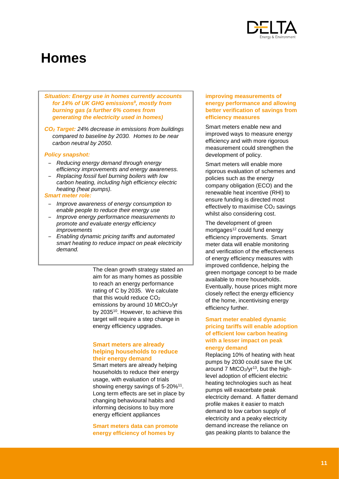

# <span id="page-10-0"></span>**Homes**

*Situation: Energy use in homes currently accounts for 14% of UK GHG emissions<sup>9</sup> , mostly from burning gas (a further 6% comes from generating the electricity used in homes)* 

*CO<sup>2</sup> Target: 24% decrease in emissions from buildings compared to baseline by 2030. Homes to be near carbon neutral by 2050.*

#### *Policy snapshot:*

- *Reducing energy demand through energy efficiency improvements and energy awareness.*
- *Replacing fossil fuel burning boilers with low carbon heating, including high efficiency electric heating (heat pumps).*

#### *Smart meter role:*

- *Improve awareness of energy consumption to enable people to reduce their energy use*
- *Improve energy performance measurements to promote and evaluate energy efficiency improvements*
- *Enabling dynamic pricing tariffs and automated smart heating to reduce impact on peak electricity demand.*

The clean growth strategy stated an aim for as many homes as possible to reach an energy performance rating of C by 2035. We calculate that this would reduce CO<sub>2</sub> emissions by around 10 MtCO2/yr by 2035<sup>10</sup>. However, to achieve this target will require a step change in energy efficiency upgrades.

#### **Smart meters are already helping households to reduce their energy demand**

Smart meters are already helping households to reduce their energy usage, with evaluation of trials showing energy savings of 5-20%<sup>11</sup>. Long term effects are set in place by changing behavioural habits and informing decisions to buy more energy efficient appliances

**Smart meters data can promote energy efficiency of homes by** 

#### **improving measurements of energy performance and allowing better verification of savings from efficiency measures**

Smart meters enable new and improved ways to measure energy efficiency and with more rigorous measurement could strengthen the development of policy.

Smart meters will enable more rigorous evaluation of schemes and policies such as the energy company obligation (ECO) and the renewable heat incentive (RHI) to ensure funding is directed most effectively to maximise  $CO<sub>2</sub>$  savings whilst also considering cost.

The development of green mortgages<sup>12</sup> could fund energy efficiency improvements. Smart meter data will enable monitoring and verification of the effectiveness of energy efficiency measures with improved confidence, helping the green mortgage concept to be made available to more households. Eventually, house prices might more closely reflect the energy efficiency of the home, incentivising energy efficiency further.

#### **Smart meter enabled dynamic pricing tariffs will enable adoption of efficient low carbon heating with a lesser impact on peak energy demand**

<span id="page-10-1"></span>Replacing 10% of heating with heat pumps by 2030 could save the UK around 7 MtCO $2/yr^{13}$ , but the highlevel adoption of efficient electric heating technologies such as heat pumps will exacerbate peak electricity demand. A flatter demand profile makes it easier to match demand to low carbon supply of electricity and a peaky electricity demand increase the reliance on gas peaking plants to balance the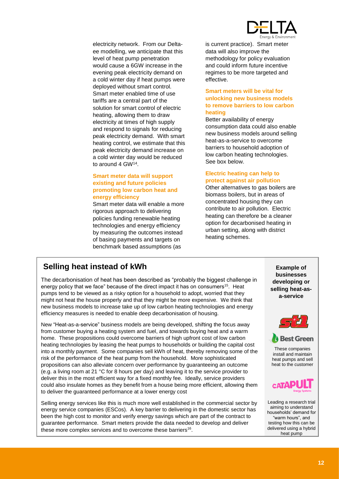

electricity network. From our Deltaee modelling, we anticipate that this level of heat pump penetration would cause a 6GW increase in the evening peak electricity demand on a cold winter day if heat pumps were deployed without smart control. Smart meter enabled time of use tariffs are a central part of the solution for smart control of electric heating, allowing them to draw electricity at times of high supply and respond to signals for reducing peak electricity demand. With smart heating control, we estimate that this peak electricity demand increase on a cold winter day would be reduced to around 4 GW<sup>14</sup> .

#### **Smart meter data will support existing and future policies promoting low carbon heat and energy efficiency**

Smart meter data will enable a more rigorous approach to delivering policies funding renewable heating technologies and energy efficiency by measuring the outcomes instead of basing payments and targets on benchmark based assumptions (as

is current practice). Smart meter data will also improve the methodology for policy evaluation and could inform future incentive regimes to be more targeted and effective.

#### **Smart meters will be vital for unlocking new business models to remove barriers to low carbon heating**

Better availability of energy consumption data could also enable new business models around selling heat-as-a-service to overcome barriers to household adoption of low carbon heating technologies. See box below.

#### **Electric heating can help to protect against air pollution**

Other alternatives to gas boilers are biomass boilers, but in areas of concentrated housing they can contribute to air pollution. Electric heating can therefore be a cleaner option for decarbonised heating in urban setting, along with district heating schemes.

## <span id="page-11-0"></span>**Selling heat instead of kWh**

The decarbonisation of heat has been described as "probably the biggest challenge in energy policy that we face" because of the direct impact it has on consumers<sup>15</sup>. Heat pumps tend to be viewed as a risky option for a household to adopt, worried that they might not heat the house properly and that they might be more expensive. We think that new business models to increase take up of low carbon heating technologies and energy efficiency measures is needed to enable deep decarbonisation of housing.

New "Heat-as-a-service" business models are being developed, shifting the focus away from customer buying a heating system and fuel, and towards buying heat and a warm home. These propositions could overcome barriers of high upfront cost of low carbon heating technologies by leasing the heat pumps to households or building the capital cost into a monthly payment. Some companies sell kWh of heat, thereby removing some of the risk of the performance of the heat pump from the household. More sophisticated propositions can also alleviate concern over performance by guaranteeing an outcome (e.g. a living room at 21 °C for 8 hours per day) and leaving it to the service provider to deliver this in the most efficient way for a fixed monthly fee. Ideally, service providers could also insulate homes as they benefit from a house being more efficient, allowing them to deliver the guaranteed performance at a lower energy cost

Selling energy services like this is much more well established in the commercial sector by energy service companies (ESCos). A key barrier to delivering in the domestic sector has been the high cost to monitor and verify energy savings which are part of the contract to guarantee performance. Smart meters provide the data needed to develop and deliver these more complex services and to overcome these barriers<sup>16</sup>.

**Example of businesses developing or selling heat-asa-service**



These companies install and maintain heat pumps and sell heat to the customer



Leading a research trial aiming to understand households' demand for "warm hours", and testing how this can be delivered using a hybrid heat pump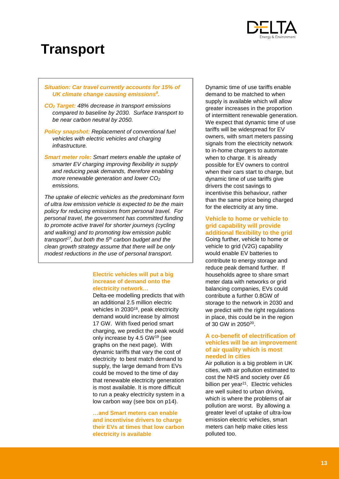

## <span id="page-12-0"></span>**Transport**

#### *Situation: Car travel currently accounts for 15% of UK climate change causing emissions<sup>9</sup> .*

- *CO<sup>2</sup> Target: 48% decrease in transport emissions compared to baseline by 2030. Surface transport to be near carbon neutral by 2050.*
- *Policy snapshot: Replacement of conventional fuel vehicles with electric vehicles and charging infrastructure.*
- *Smart meter role: Smart meters enable the uptake of smarter EV charging improving flexibility in supply and reducing peak demands, therefore enabling more renewable generation and lower CO<sup>2</sup> emissions.*

*The uptake of electric vehicles as the predominant form of ultra low emission vehicle is expected to be the main policy for reducing emissions from personal travel. For personal travel, the government has committed funding to promote active travel for shorter journeys (cycling and walking) and to promoting low emission public transport<sup>17</sup>, but both the 5th carbon budget and the clean growth strategy assume that there will be only modest reductions in the use of personal transport.* 

#### **Electric vehicles will put a big increase of demand onto the electricity network…**

Delta-ee modelling predicts that with an additional 2.5 million electric vehicles in 2030<sup>18</sup>, peak electricity demand would increase by almost 17 GW. With fixed period smart charging, we predict the peak would only increase by 4.5 GW<sup>19</sup> (see graphs on the next page). With dynamic tariffs that vary the cost of electricity to best match demand to supply, the large demand from EVs could be moved to the time of day that renewable electricity generation is most available. It is more difficult to run a peaky electricity system in a low carbon way (see box on [p14\)](#page-13-0).

**…and Smart meters can enable and incentivise drivers to charge their EVs at times that low carbon electricity is available** 

Dynamic time of use tariffs enable demand to be matched to when supply is available which will allow greater increases in the proportion of intermittent renewable generation. We expect that dynamic time of use tariffs will be widespread for EV owners, with smart meters passing signals from the electricity network to in-home chargers to automate when to charge. It is already possible for EV owners to control when their cars start to charge, but dynamic time of use tariffs give drivers the cost savings to incentivise this behaviour, rather than the same price being charged for the electricity at any time.

#### **Vehicle to home or vehicle to grid capability will provide additional flexibility to the grid**

Going further, vehicle to home or vehicle to grid (V2G) capability would enable EV batteries to contribute to energy storage and reduce peak demand further. If households agree to share smart meter data with networks or grid balancing companies, EVs could contribute a further 0.8GW of storage to the network in 2030 and we predict with the right regulations in place, this could be in the region of 30 GW in 2050<sup>20</sup>.

#### **A co-benefit of electrification of vehicles will be an improvement of air quality which is most needed in cities**

Air pollution is a big problem in UK cities, with air pollution estimated to cost the NHS and society over £6 billion per year<sup>21</sup>. Electric vehicles are well suited to urban driving, which is where the problems of air pollution are worst. By allowing a greater level of uptake of ultra-low emission electric vehicles, smart meters can help make cities less polluted too.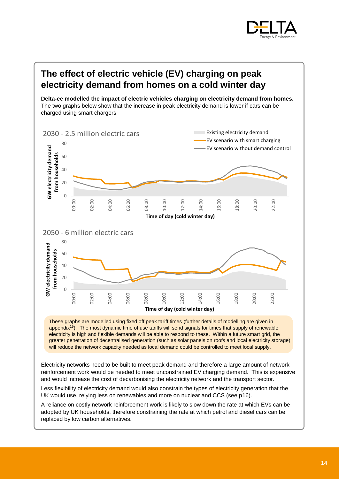

## <span id="page-13-0"></span>**The effect of electric vehicle (EV) charging on peak electricity demand from homes on a cold winter day**

**Delta-ee modelled the impact of electric vehicles charging on electricity demand from homes.**  The two graphs below show that the increase in peak electricity demand is lower if cars can be charged using smart chargers



electricity is high and flexible demands will be able to respond to these. Within a future smart grid, the greater penetration of decentralised generation (such as solar panels on roofs and local electricity storage) will reduce the network capacity needed as local demand could be controlled to meet local supply.

Electricity networks need to be built to meet peak demand and therefore a large amount of network reinforcement work would be needed to meet unconstrained EV charging demand. This is expensive and would increase the cost of decarbonising the electricity network and the transport sector.

Less flexibility of electricity demand would also constrain the types of electricity generation that the UK would use, relying less on renewables and more on nuclear and CCS (see [p16\)](#page-15-0).

A reliance on costly network reinforcement work is likely to slow down the rate at which EVs can be adopted by UK households, therefore constraining the rate at which petrol and diesel cars can be replaced by low carbon alternatives.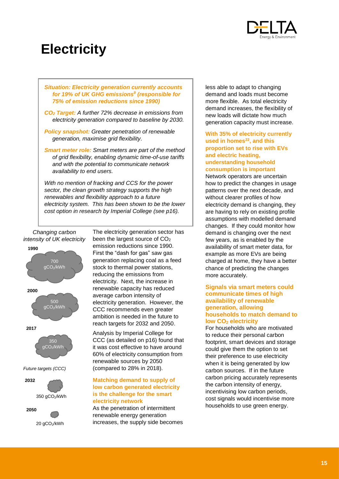

# <span id="page-14-0"></span>**Electricity**

*Situation: Electricity generation currently accounts for 19% of UK GHG emissions<sup>9</sup> (responsible for 75% of emission reductions since 1990)* 

*CO<sup>2</sup> Target: A further 72% decrease in emissions from electricity generation compared to baseline by 2030.*

*Policy snapshot: Greater penetration of renewable generation, maximise grid flexibility.*

*Smart meter role: Smart meters are part of the method of grid flexibility, enabling dynamic time-of-use tariffs and with the potential to communicate network availability to end users.*

*With no mention of fracking and CCS for the power sector, the clean growth strategy supports the high renewables and flexibility approach to a future electricity system. This has been shown to be the lower cost option in research by Imperial College (see [p16\)](#page-15-0).*

*Changing carbon intensity of UK electricity*



20 gCO<sub>2</sub>/kWh

The electricity generation sector has been the largest source of CO<sub>2</sub> emission reductions since 1990. First the "dash for gas" saw gas generation replacing coal as a feed stock to thermal power stations, reducing the emissions from electricity. Next, the increase in renewable capacity has reduced average carbon intensity of electricity generation. However, the CCC recommends even greater ambition is needed in the future to reach targets for 2032 and 2050.

Analysis by Imperial College for CCC (as detailed on [p16\)](#page-15-0) found that it was cost effective to have around 60% of electricity consumption from renewable sources by 2050 (compared to 28% in 2018).

#### **Matching demand to supply of low carbon generated electricity is the challenge for the smart electricity network**

As the penetration of intermittent renewable energy generation increases, the supply side becomes less able to adapt to changing demand and loads must become more flexible. As total electricity demand increases, the flexibility of new loads will dictate how much generation capacity must increase.

**With 35% of electricity currently used in homes<sup>22</sup>, and this proportion set to rise with EVs and electric heating, understanding household consumption is important**

Network operators are uncertain how to predict the changes in usage patterns over the next decade, and without clearer profiles of how electricity demand is changing, they are having to rely on existing profile assumptions with modelled demand changes. If they could monitor how demand is changing over the next few years, as is enabled by the availability of smart meter data, for example as more EVs are being charged at home, they have a better chance of predicting the changes more accurately.

#### **Signals via smart meters could communicate times of high availability of renewable generation, allowing households to match demand to low CO<sup>2</sup> electricity**

For households who are motivated to reduce their personal carbon footprint, smart devices and storage could give them the option to set their preference to use electricity when it is being generated by low carbon sources. If in the future carbon pricing accurately represents the carbon intensity of energy, incentivising low carbon periods, cost signals would incentivise more households to use green energy.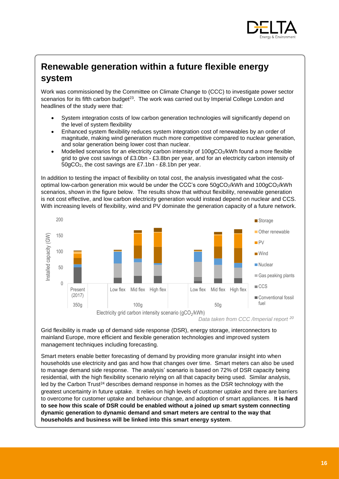

## <span id="page-15-0"></span>**Renewable generation within a future flexible energy system**

Work was commissioned by the Committee on Climate Change to (CCC) to investigate power sector scenarios for its fifth carbon budget<sup>23</sup>. The work was carried out by Imperial College London and headlines of the study were that:

- System integration costs of low carbon generation technologies will significantly depend on the level of system flexibility
- Enhanced system flexibility reduces system integration cost of renewables by an order of magnitude, making wind generation much more competitive compared to nuclear generation, and solar generation being lower cost than nuclear.
- Modelled scenarios for an electricity carbon intensity of 100gCO<sub>2</sub>/kWh found a more flexible grid to give cost savings of £3.0bn - £3.8bn per year, and for an electricity carbon intensity of 50gCO2, the cost savings are £7.1bn - £8.1bn per year.

In addition to testing the impact of flexibility on total cost, the analysis investigated what the costoptimal low-carbon generation mix would be under the CCC's core 50gCO<sub>2</sub>/kWh and 100gCO<sub>2</sub>/kWh scenarios, shown in the figure below. The results show that without flexibility, renewable generation is not cost effective, and low carbon electricity generation would instead depend on nuclear and CCS. With increasing levels of flexibility, wind and PV dominate the generation capacity of a future network.



*Data taken from CCC /Imperial report <sup>20</sup>*

Grid flexibility is made up of demand side response (DSR), energy storage, interconnectors to mainland Europe, more efficient and flexible generation technologies and improved system management techniques including forecasting.

Smart meters enable better forecasting of demand by providing more granular insight into when households use electricity and gas and how that changes over time. Smart meters can also be used to manage demand side response. The analysis' scenario is based on 72% of DSR capacity being residential, with the high flexibility scenario relying on all that capacity being used. Similar analysis, led by the Carbon Trust<sup>24</sup> describes demand response in homes as the DSR technology with the greatest uncertainty in future uptake. It relies on high levels of customer uptake and there are barriers to overcome for customer uptake and behaviour change, and adoption of smart appliances. I**t is hard to see how this scale of DSR could be enabled without a joined up smart system connecting dynamic generation to dynamic demand and smart meters are central to the way that households and business will be linked into this smart energy system**.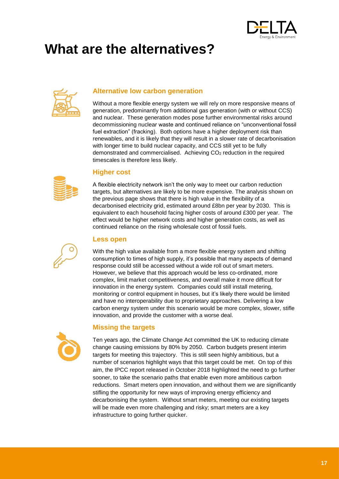

# <span id="page-16-0"></span>**What are the alternatives?**



#### **Alternative low carbon generation**

Without a more flexible energy system we will rely on more responsive means of generation, predominantly from additional gas generation (with or without CCS) and nuclear. These generation modes pose further environmental risks around decommissioning nuclear waste and continued reliance on "unconventional fossil fuel extraction" (fracking). Both options have a higher deployment risk than renewables, and it is likely that they will result in a slower rate of decarbonisation with longer time to build nuclear capacity, and CCS still yet to be fully demonstrated and commercialised. Achieving CO<sub>2</sub> reduction in the required timescales is therefore less likely.



#### **Higher cost**

A flexible electricity network isn't the only way to meet our carbon reduction targets, but alternatives are likely to be more expensive. The analysis shown on the previous page shows that there is high value in the flexibility of a decarbonised electricity grid, estimated around £8bn per year by 2030. This is equivalent to each household facing higher costs of around £300 per year. The effect would be higher network costs and higher generation costs, as well as continued reliance on the rising wholesale cost of fossil fuels.

#### **Less open**

With the high value available from a more flexible energy system and shifting consumption to times of high supply, it's possible that many aspects of demand response could still be accessed without a wide roll out of smart meters. However, we believe that this approach would be less co-ordinated, more complex, limit market competitiveness, and overall make it more difficult for innovation in the energy system. Companies could still install metering, monitoring or control equipment in houses, but it's likely there would be limited and have no interoperability due to proprietary approaches. Delivering a low carbon energy system under this scenario would be more complex, slower, stifle innovation, and provide the customer with a worse deal.



#### **Missing the targets**

Ten years ago, the Climate Change Act committed the UK to reducing climate change causing emissions by 80% by 2050. Carbon budgets present interim targets for meeting this trajectory. This is still seen highly ambitious, but a number of scenarios highlight ways that this target could be met. On top of this aim, the IPCC report released in October 2018 highlighted the need to go further sooner, to take the scenario paths that enable even more ambitious carbon reductions. Smart meters open innovation, and without them we are significantly stifling the opportunity for new ways of improving energy efficiency and decarbonising the system. Without smart meters, meeting our existing targets will be made even more challenging and risky; smart meters are a key infrastructure to going further quicker.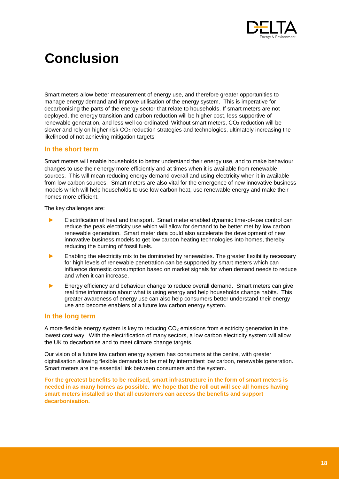

# <span id="page-17-0"></span>**Conclusion**

Smart meters allow better measurement of energy use, and therefore greater opportunities to manage energy demand and improve utilisation of the energy system. This is imperative for decarbonising the parts of the energy sector that relate to households. If smart meters are not deployed, the energy transition and carbon reduction will be higher cost, less supportive of renewable generation, and less well co-ordinated. Without smart meters,  $CO<sub>2</sub>$  reduction will be slower and rely on higher risk CO<sub>2</sub> reduction strategies and technologies, ultimately increasing the likelihood of not achieving mitigation targets

#### **In the short term**

Smart meters will enable households to better understand their energy use, and to make behaviour changes to use their energy more efficiently and at times when it is available from renewable sources. This will mean reducing energy demand overall and using electricity when it in available from low carbon sources. Smart meters are also vital for the emergence of new innovative business models which will help households to use low carbon heat, use renewable energy and make their homes more efficient.

The key challenges are:

- ► Electrification of heat and transport. Smart meter enabled dynamic time-of-use control can reduce the peak electricity use which will allow for demand to be better met by low carbon renewable generation. Smart meter data could also accelerate the development of new innovative business models to get low carbon heating technologies into homes, thereby reducing the burning of fossil fuels.
- Enabling the electricity mix to be dominated by renewables. The greater flexibility necessary for high levels of renewable penetration can be supported by smart meters which can influence domestic consumption based on market signals for when demand needs to reduce and when it can increase.
- Energy efficiency and behaviour change to reduce overall demand. Smart meters can give real time information about what is using energy and help households change habits. This greater awareness of energy use can also help consumers better understand their energy use and become enablers of a future low carbon energy system.

#### **In the long term**

A more flexible energy system is key to reducing CO<sub>2</sub> emissions from electricity generation in the lowest cost way. With the electrification of many sectors, a low carbon electricity system will allow the UK to decarbonise and to meet climate change targets.

Our vision of a future low carbon energy system has consumers at the centre, with greater digitalisation allowing flexible demands to be met by intermittent low carbon, renewable generation. Smart meters are the essential link between consumers and the system.

**For the greatest benefits to be realised, smart infrastructure in the form of smart meters is needed in as many homes as possible. We hope that the roll out will see all homes having smart meters installed so that all customers can access the benefits and support decarbonisation.**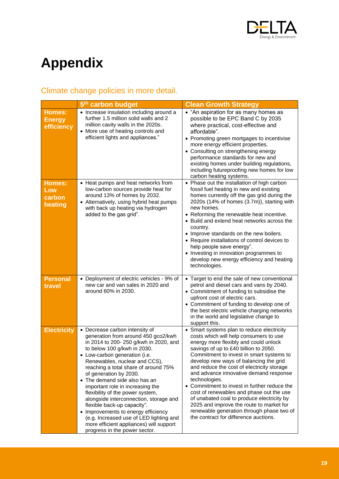

# <span id="page-18-0"></span>**Appendix**

## Climate change policies in more detail.

|                                              | 5 <sup>th</sup> carbon budget                                                                                                                                                                                                                                                                                                                                                                                                                                                                                                                                                                                                   | <b>Clean Growth Strategy</b>                                                                                                                                                                                                                                                                                                                                                                                                                                                                                                                                                                                                                      |
|----------------------------------------------|---------------------------------------------------------------------------------------------------------------------------------------------------------------------------------------------------------------------------------------------------------------------------------------------------------------------------------------------------------------------------------------------------------------------------------------------------------------------------------------------------------------------------------------------------------------------------------------------------------------------------------|---------------------------------------------------------------------------------------------------------------------------------------------------------------------------------------------------------------------------------------------------------------------------------------------------------------------------------------------------------------------------------------------------------------------------------------------------------------------------------------------------------------------------------------------------------------------------------------------------------------------------------------------------|
| <b>Homes:</b><br><b>Energy</b><br>efficiency | • Increase insulation including around a<br>further 1.5 million solid walls and 2<br>million cavity walls in the 2020s.<br>• More use of heating controls and<br>efficient lights and appliances."                                                                                                                                                                                                                                                                                                                                                                                                                              | • "An aspiration for as many homes as<br>possible to be EPC Band C by 2035<br>where practical, cost-effective and<br>affordable".<br>• Promoting green mortgages to incentivise<br>more energy efficient properties.<br>• Consulting on strengthening energy<br>performance standards for new and<br>existing homes under building regulations,<br>including futureproofing new homes for low<br>carbon heating systems.                                                                                                                                                                                                                          |
| <b>Homes:</b><br>Low<br>carbon<br>heating    | • Heat pumps and heat networks from<br>low-carbon sources provide heat for<br>around 13% of homes by 2032.<br>• Alternatively, using hybrid heat pumps<br>with back up heating via hydrogen<br>added to the gas grid".                                                                                                                                                                                                                                                                                                                                                                                                          | • Phase out the installation of high carbon<br>fossil fuel heating in new and existing<br>homes currently off the gas grid during the<br>2020s (14% of homes (3.7m)), starting with<br>new homes.<br>• Reforming the renewable heat incentive.<br>• Build and extend heat networks across the<br>country.<br>• Improve standards on the new boilers.<br>• Require installations of control devices to<br>help people save energy".<br>• Investing in innovation programmes to<br>develop new energy efficiency and heating<br>technologies.                                                                                                       |
| <b>Personal</b><br>travel                    | • Deployment of electric vehicles - 9% of<br>new car and van sales in 2020 and<br>around 60% in 2030.                                                                                                                                                                                                                                                                                                                                                                                                                                                                                                                           | • Target to end the sale of new conventional<br>petrol and diesel cars and vans by 2040.<br>• Commitment of funding to subsidise the<br>upfront cost of electric cars.<br>• Commitment of funding to develop one of<br>the best electric vehicle charging networks<br>in the world and legislative change to<br>support this.                                                                                                                                                                                                                                                                                                                     |
| <b>Electricity</b>                           | • Decrease carbon intensity of<br>generation from around 450 gco2/kwh<br>in 2014 to 200-250 g/kwh in 2020, and<br>to below 100 g/kwh in 2030.<br>Low-carbon generation (i.e.<br>Renewables, nuclear and CCS),<br>reaching a total share of around 75%<br>of generation by 2030.<br>• The demand side also has an<br>important role in increasing the<br>flexibility of the power system,<br>alongside interconnection, storage and<br>flexible back-up capacity".<br>• Improvements to energy efficiency<br>(e.g. Increased use of LED lighting and<br>more efficient appliances) will support<br>progress in the power sector. | • Smart systems plan to reduce electricity<br>costs which will help consumers to use<br>energy more flexibly and could unlock<br>savings of up to £40 billion to 2050.<br>Commitment to invest in smart systems to<br>develop new ways of balancing the grid<br>and reduce the cost of electricity storage<br>and advance innovative demand response<br>technologies.<br>• Commitment to invest in further reduce the<br>cost of renewables and phase out the use<br>of unabated coal to produce electricity by<br>2025 and improve the route to market for<br>renewable generation through phase two of<br>the contract for difference auctions. |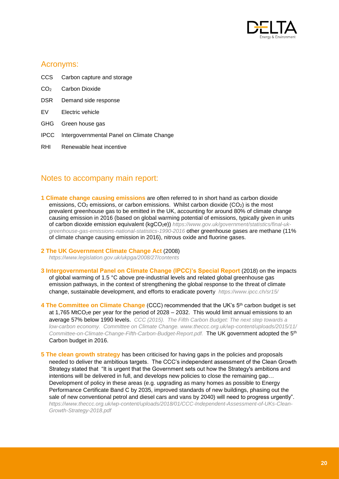

### Acronyms:

- CCS Carbon capture and storage
- CO<sub>2</sub> Carbon Dioxide
- DSR Demand side response
- EV Electric vehicle
- GHG Green house gas
- IPCC Intergovernmental Panel on Climate Change
- RHI Renewable heat incentive

### Notes to accompany main report:

**1 Climate change causing emissions** are often referred to in short hand as carbon dioxide emissions,  $CO<sub>2</sub>$  emissions, or carbon emissions. Whilst carbon dioxide ( $CO<sub>2</sub>$ ) is the most prevalent greenhouse gas to be emitted in the UK, accounting for around 80% of climate change causing emission in 2016 (based on global warming potential of emissions, typically given in units of carbon dioxide emission equivalent (kgCO<sub>2</sub>e)) [https://www.gov.uk/government/statistics/final-uk](https://www.gov.uk/government/statistics/final-uk-greenhouse-gas-emissions-national-statistics-1990-2016)*[greenhouse-gas-emissions-national-statistics-1990-2016](https://www.gov.uk/government/statistics/final-uk-greenhouse-gas-emissions-national-statistics-1990-2016)* other greenhouse gases are methane (11% of climate change causing emission in 2016), nitrous oxide and fluorine gases.

#### **2 The UK Government Climate Change Act** (2008) *<https://www.legislation.gov.uk/ukpga/2008/27/contents>*

**3 Intergovernmental Panel on Climate Change (IPCC)'s Special Report** (2018) on the impacts of global warming of 1.5 °C above pre-industrial levels and related global greenhouse gas emission pathways, in the context of strengthening the global response to the threat of climate change, sustainable development, and efforts to eradicate poverty *<https://www.ipcc.ch/sr15/>*

**4 The Committee on Climate Change (CCC) recommended that the UK's 5<sup>th</sup> carbon budget is set** at 1,765 MtCO<sub>2</sub>e per year for the period of 2028 – 2032. This would limit annual emissions to an average 57% below 1990 levels. *CCC (2015). The Fifth Carbon Budget: The next step towards a low-carbon economy. Committee on Climate Change. www.theccc.org.uk/wp-content/uploads/2015/11/ Committee-on-Climate-Change-Fifth-Carbon-Budget-Report.pdf.* The UK government adopted the 5th Carbon budget in 2016.

**5 The clean growth strategy** has been criticised for having gaps in the policies and proposals needed to deliver the ambitious targets. The CCC's independent assessment of the Clean Growth Strategy stated that "It is urgent that the Government sets out how the Strategy's ambitions and intentions will be delivered in full, and develops new policies to close the remaining gap… Development of policy in these areas (e.g. upgrading as many homes as possible to Energy Performance Certificate Band C by 2035, improved standards of new buildings, phasing out the sale of new conventional petrol and diesel cars and vans by 2040) will need to progress urgently". *https://www.theccc.org.uk/wp-content/uploads/2018/01/CCC-Independent-Assessment-of-UKs-Clean-Growth-Strategy-2018.pdf*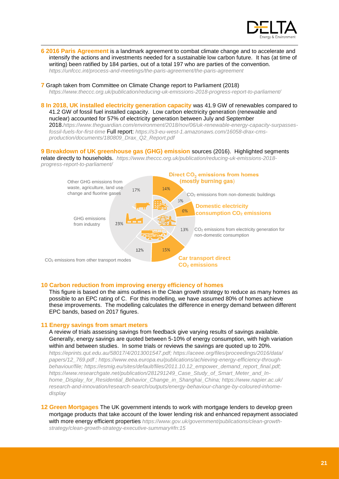

#### **6 2016 Paris Agreement** is a landmark agreement to combat climate change and to accelerate and intensify the actions and investments needed for a sustainable low carbon future. It has (at time of writing) been ratified by 184 parties, out of a total 197 who are parties of the convention. *<https://unfccc.int/process-and-meetings/the-paris-agreement/the-paris-agreement>*

**7** Graph taken from Committee on Climate Change report to Parliament (2018)

*https://www.theccc.org.uk/publication/reducing-uk-emissions-2018-progress-report-to-parliament/*

**8 In 2018, UK installed electricity generation capacity** was 41.9 GW of renewables compared to 41.2 GW of fossil fuel installed capacity. Low carbon electricity generation (renewable and nuclear) accounted for 57% of electricity generation between July and September

2018.*[https://www.theguardian.com/environment/2018/nov/06/uk-renewable-energy-capacity-surpasses](https://www.theguardian.com/environment/2018/nov/06/uk-renewable-energy-capacity-surpasses-fossil-fuels-for-first-time)[fossil-fuels-for-first-time](https://www.theguardian.com/environment/2018/nov/06/uk-renewable-energy-capacity-surpasses-fossil-fuels-for-first-time)* Full report: *https://s3-eu-west-1.amazonaws.com/16058-drax-cmsproduction/documents/180809\_Drax\_Q2\_Report.pdf*

#### **9 Breakdown of UK greenhouse gas (GHG) emission** sources (2016). Highlighted segments

relate directly to households. *https://www.theccc.org.uk/publication/reducing-uk-emissions-2018 progress-report-to-parliament/*



#### **10 Carbon reduction from improving energy efficiency of homes**

This figure is based on the aims outlines in the Clean growth strategy to reduce as many homes as possible to an EPC rating of C. For this modelling, we have assumed 80% of homes achieve these improvements. The modelling calculates the difference in energy demand between different EPC bands, based on 2017 figures.

#### **11 Energy savings from smart meters**

-

A review of trials assessing savings from feedback give varying results of savings available. Generally, energy savings are quoted between 5-10% of energy consumption, with high variation within and between studies. In some trials or reviews the savings are quoted up to 20%.

*[https://eprints.qut.edu.au/58017/4/2013001547.pdf;](https://eprints.qut.edu.au/58017/4/2013001547.pdf) https://aceee.org/files/proceedings/2016/data/ papers/12\_769.pdf ; [https://www.eea.europa.eu/publications/achieving-energy-efficiency-through](https://www.eea.europa.eu/publications/achieving-energy-efficiency-through-behaviour/file)[behaviour/file;](https://www.eea.europa.eu/publications/achieving-energy-efficiency-through-behaviour/file) [https://esmig.eu/sites/default/files/2011.10.12\\_empower\\_demand\\_report\\_final.pdf;](https://esmig.eu/sites/default/files/2011.10.12_empower_demand_report_final.pdf) [https://www.researchgate.net/publication/281291249\\_Case\\_Study\\_of\\_Smart\\_Meter\\_and\\_In](https://www.researchgate.net/publication/281291249_Case_Study_of_Smart_Meter_and_In-home_Display_for_Residential_Behavior_Change_in_Shanghai_China)[home\\_Display\\_for\\_Residential\\_Behavior\\_Change\\_in\\_Shanghai\\_China;](https://www.researchgate.net/publication/281291249_Case_Study_of_Smart_Meter_and_In-home_Display_for_Residential_Behavior_Change_in_Shanghai_China) https://www.napier.ac.uk/ research-and-innovation/research-search/outputs/energy-behaviour-change-by-coloured-inhomedisplay* 

**12 Green Mortgages** The UK government intends to work with mortgage lenders to develop green mortgage products that take account of the lower lending risk and enhanced repayment associated with more energy efficient properties [https://www.gov.uk/government/publications/clean-growth](https://www.gov.uk/government/publications/clean-growth-strategy/clean-growth-strategy-executive-summary#fn:15)*[strategy/clean-growth-strategy-executive-summary#fn:15](https://www.gov.uk/government/publications/clean-growth-strategy/clean-growth-strategy-executive-summary#fn:15)*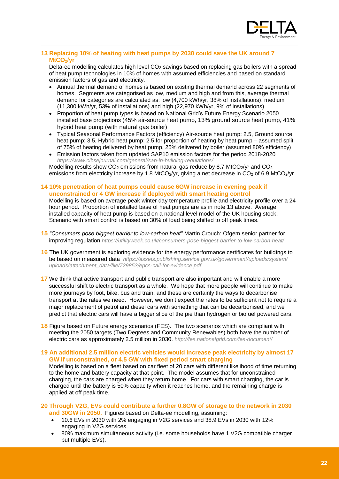

#### **13 Replacing 10% of heating with heat pumps by 2030 could save the UK around 7 MtCO2/yr**

-

Delta-ee modelling calculates high level CO<sub>2</sub> savings based on replacing gas boilers with a spread of heat pump technologies in 10% of homes with assumed efficiencies and based on standard emission factors of gas and electricity.

- Annual thermal demand of homes is based on existing thermal demand across 22 segments of homes. Segments are categorised as low, medium and high and from this, average thermal demand for categories are calculated as: low (4,700 kWh/yr, 38% of installations), medium (11,300 kWh/yr, 53% of installations) and high (22,970 kWh/yr, 9% of installations)
- Proportion of heat pump types is based on National Grid's Future Energy Scenario 2050 installed base projections (45% air-source heat pump, 13% ground source heat pump, 41% hybrid heat pump (with natural gas boiler)
- Typical Seasonal Performance Factors (efficiency) Air-source heat pump: 2.5, Ground source heat pump: 3.5, Hybrid heat pump: 2.5 for proportion of heating by heat pump – assumed split of 75% of heating delivered by heat pump, 25% delivered by boiler (assumed 80% efficiency)
- Emission factors taken from updated SAP10 emission factors for the period 2018-2020 *<https://www.cibsejournal.com/general/sap-in-building-regulations/>*

Modelling results show  $CO<sub>2</sub>$  emissions from natural gas reduce by 8.7 MtCO<sub>2</sub>/yr and  $CO<sub>2</sub>$ emissions from electricity increase by 1.8 MtCO<sub>2</sub>/yr, giving a net decrease in  $CO<sub>2</sub>$  of 6.9 MtCO<sub>2</sub>/yr

#### **14 10% penetration of heat pumps could cause 6GW increase in evening peak if unconstrained or 4 GW increase if deployed with smart heating control**

Modelling is based on average peak winter day temperature profile and electricity profile over a 24 hour period. Proportion of installed base of heat pumps are as in note [13](#page-10-1) above. Average installed capacity of heat pump is based on a national level model of the UK housing stock. Scenario with smart control is based on 30% of load being shifted to off peak times.

- **15** *"Consumers pose biggest barrier to low-carbon heat"* Martin Crouch: Ofgem senior partner for improving regulation *<https://utilityweek.co.uk/consumers-pose-biggest-barrier-to-low-carbon-heat/>*
- **16** The UK government is exploring evidence for the energy performance certificates for buildings to be based on measured data *[https://assets.publishing.service.gov.uk/government/uploads/system/](https://assets.publishing.service.gov.uk/government/uploads/system/uploads/attachment_data/file/729853/epcs-call-for-evidence.pdf) [uploads/attachment\\_data/file/729853/epcs-call-for-evidence.pdf](https://assets.publishing.service.gov.uk/government/uploads/system/uploads/attachment_data/file/729853/epcs-call-for-evidence.pdf)*
- **17** We think that active transport and public transport are also important and will enable a more successful shift to electric transport as a whole. We hope that more people will continue to make more journeys by foot, bike, bus and train, and these are certainly the ways to decarbonise transport at the rates we need. However, we don't expect the rates to be sufficient not to require a major replacement of petrol and diesel cars with something that can be decarbonised, and we predict that electric cars will have a bigger slice of the pie than hydrogen or biofuel powered cars.
- **18** Figure based on Future energy scenarios (FES). The two scenarios which are compliant with meeting the 2050 targets (Two Degrees and Community Renewables) both have the number of electric cars as approximately 2.5 million in 2030. *http://fes.nationalgrid.com/fes-document/*
- **19 An additional 2.5 million electric vehicles would increase peak electricity by almost 17 GW if unconstrained, or 4.5 GW with fixed period smart charging** Modelling is based on a fleet based on car fleet of 20 cars with different likelihood of time returning to the home and battery capacity at that point. The model assumes that for unconstrained charging, the cars are charged when they return home. For cars with smart charging, the car is charged until the battery is 50% capacity when it reaches home, and the remaining charge is applied at off peak time.
- **20 Through V2G, EVs could contribute a further 0.8GW of storage to the network in 2030 and 30GW in 2050.** Figures based on Delta-ee modelling, assuming:
	- 10.6 EVs in 2030 with 2% engaging in V2G services and 38.9 EVs in 2030 with 12% engaging in V2G services.
	- 80% maximum simultaneous activity (i.e. some households have 1 V2G compatible charger but multiple EVs).